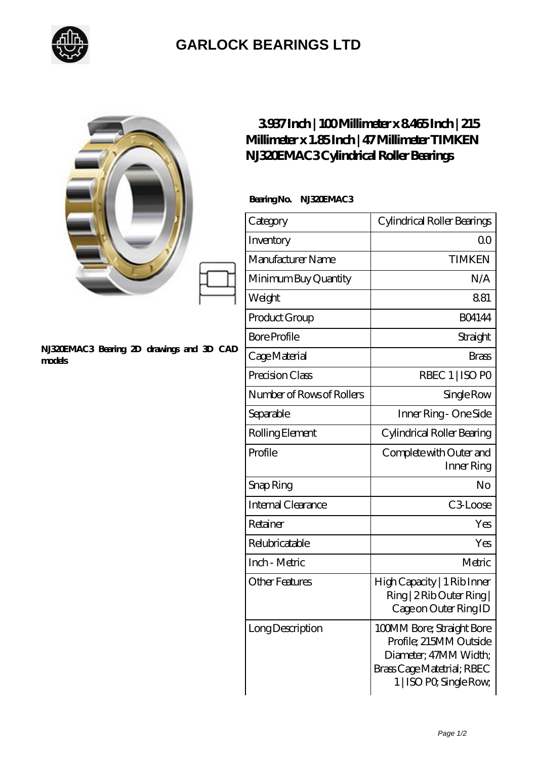

## **[GARLOCK BEARINGS LTD](https://m.letterstopriests.com)**

|                                                     | 3937Inch   100Millimeter x 8465Inch   215<br>Millimeter x 1.85 Inch   47 Millimeter TIMKEN<br>NJ320EMAC3Cylindrical Roller Bearings |                                                                                                                                       |
|-----------------------------------------------------|-------------------------------------------------------------------------------------------------------------------------------------|---------------------------------------------------------------------------------------------------------------------------------------|
| NJ32DEMAC3 Bearing 2D drawings and 3D CAD<br>models | BearingNo.<br>NJSAEMAC3                                                                                                             |                                                                                                                                       |
|                                                     | Category                                                                                                                            | Cylindrical Roller Bearings                                                                                                           |
|                                                     | Inventory                                                                                                                           | 0 <sup>0</sup>                                                                                                                        |
|                                                     | Manufacturer Name                                                                                                                   | <b>TIMKEN</b>                                                                                                                         |
|                                                     | Minimum Buy Quantity                                                                                                                | N/A                                                                                                                                   |
|                                                     | Weight                                                                                                                              | 881                                                                                                                                   |
|                                                     | Product Group                                                                                                                       | <b>BO4144</b>                                                                                                                         |
|                                                     | <b>Bore Profile</b>                                                                                                                 | Straight                                                                                                                              |
|                                                     | Cage Material                                                                                                                       | <b>Brass</b>                                                                                                                          |
|                                                     | Precision Class                                                                                                                     | RBEC 1   ISO PO                                                                                                                       |
|                                                     | Number of Rows of Rollers                                                                                                           | Single Row                                                                                                                            |
|                                                     | Separable                                                                                                                           | Inner Ring - One Side                                                                                                                 |
|                                                     | Rolling Element                                                                                                                     | Cylindrical Roller Bearing                                                                                                            |
|                                                     | Profile                                                                                                                             | Complete with Outer and<br>Inner Ring                                                                                                 |
|                                                     | Snap Ring                                                                                                                           | No                                                                                                                                    |
|                                                     | <b>Internal Clearance</b>                                                                                                           | C3Loose                                                                                                                               |
|                                                     | Retainer                                                                                                                            | Yes                                                                                                                                   |
|                                                     | Relubricatable                                                                                                                      | Yes                                                                                                                                   |
|                                                     | Inch - Metric                                                                                                                       | Metric                                                                                                                                |
|                                                     | <b>Other Features</b>                                                                                                               | High Capacity   1 Rib Inner<br>Ring   2 Rib Outer Ring  <br>Cage on Outer Ring ID                                                     |
|                                                     | Long Description                                                                                                                    | 100MM Bore; Straight Bore<br>Profile; 215MM Outside<br>Diameter, 47MM Width;<br>Brass Cage Matetrial; RBEC<br>1   ISO PO, Single Row, |